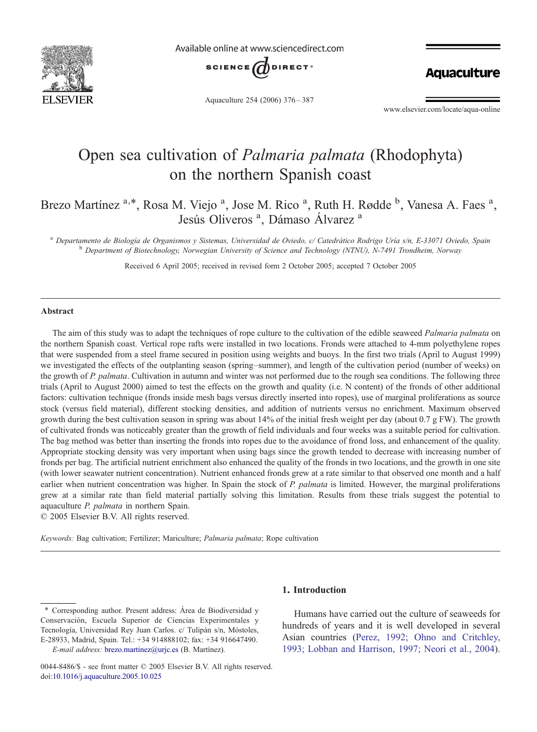

Available online at www.sciencedirect.com



**Aquaculture** 

Aquaculture 254 (2006) 376–387

www.elsevier.com/locate/aqua-online

# Open sea cultivation of Palmaria palmata (Rhodophyta) on the northern Spanish coast

Brezo Martínez <sup>a,\*</sup>, Rosa M. Viejo <sup>a</sup>, Jose M. Rico <sup>a</sup>, Ruth H. Rødde <sup>b</sup>, Vanesa A. Faes <sup>a</sup>, Jesús Oliveros<sup>a</sup>, Dámaso Álvarez<sup>a</sup>

<sup>a</sup> Departamento de Biología de Organismos y Sistemas, Universidad de Oviedo, c/ Catedrático Rodrigo Uría s/n, E-33071 Oviedo, Spain<br><sup>b</sup> Department of Biotechnology, Norwegian University of Science and Technology (NTNU), N

Received 6 April 2005; received in revised form 2 October 2005; accepted 7 October 2005

#### Abstract

The aim of this study was to adapt the techniques of rope culture to the cultivation of the edible seaweed *Palmaria palmata* on the northern Spanish coast. Vertical rope rafts were installed in two locations. Fronds were attached to 4-mm polyethylene ropes that were suspended from a steel frame secured in position using weights and buoys. In the first two trials (April to August 1999) we investigated the effects of the outplanting season (spring–summer), and length of the cultivation period (number of weeks) on the growth of P. palmata. Cultivation in autumn and winter was not performed due to the rough sea conditions. The following three trials (April to August 2000) aimed to test the effects on the growth and quality (i.e. N content) of the fronds of other additional factors: cultivation technique (fronds inside mesh bags versus directly inserted into ropes), use of marginal proliferations as source stock (versus field material), different stocking densities, and addition of nutrients versus no enrichment. Maximum observed growth during the best cultivation season in spring was about 14% of the initial fresh weight per day (about 0.7 g FW). The growth of cultivated fronds was noticeably greater than the growth of field individuals and four weeks was a suitable period for cultivation. The bag method was better than inserting the fronds into ropes due to the avoidance of frond loss, and enhancement of the quality. Appropriate stocking density was very important when using bags since the growth tended to decrease with increasing number of fronds per bag. The artificial nutrient enrichment also enhanced the quality of the fronds in two locations, and the growth in one site (with lower seawater nutrient concentration). Nutrient enhanced fronds grew at a rate similar to that observed one month and a half earlier when nutrient concentration was higher. In Spain the stock of P. palmata is limited. However, the marginal proliferations grew at a similar rate than field material partially solving this limitation. Results from these trials suggest the potential to aquaculture P. palmata in northern Spain.

© 2005 Elsevier B.V. All rights reserved.

Keywords: Bag cultivation; Fertilizer; Mariculture; Palmaria palmata; Rope cultivation

## 1. Introduction

Humans have carried out the culture of seaweeds for hundreds of years and it is well developed in several Asian countries ([Perez, 1992; Ohno and Critchley,](#page-10-0) [1993; Lobban and Harrison, 1997; Neori et al., 2004\)](#page-10-0).

<sup>⁎</sup> Corresponding author. Present address: Área de Biodiversidad y Conservación, Escuela Superior de Ciencias Experimentales y Tecnología, Universidad Rey Juan Carlos. c/ Tulipán s/n, Móstoles, E-28933, Madrid, Spain. Tel.: +34 914888102; fax: +34 916647490.

E-mail address: [brezo.martinez@urjc.es](mailto:brezo.martinez@urjc.es) (B. Martínez).

<sup>0044-8486/\$ -</sup> see front matter © 2005 Elsevier B.V. All rights reserved. doi[:10.1016/j.aquaculture.2005.10.025](http://dx.doi.org/10.1016/j.aquaculture.2005.10.025)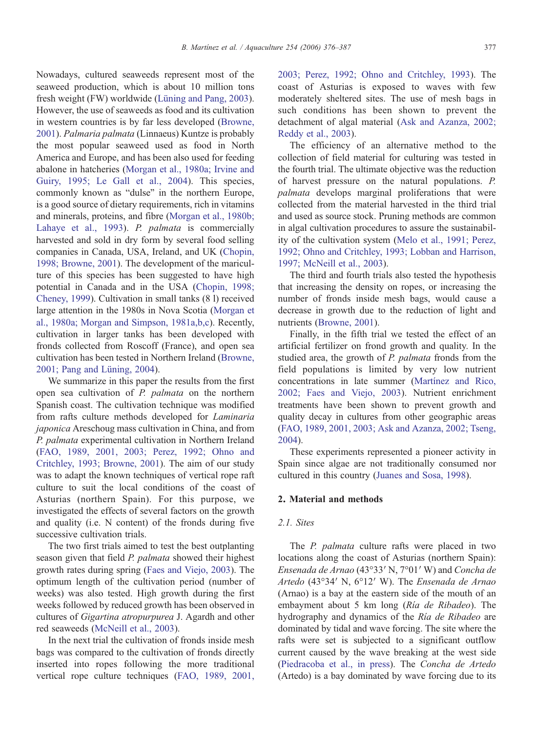Nowadays, cultured seaweeds represent most of the seaweed production, which is about 10 million tons fresh weight (FW) worldwide ([Lüning and Pang, 2003](#page-10-0)). However, the use of seaweeds as food and its cultivation in western countries is by far less developed [\(Browne,](#page-9-0) [2001\)](#page-9-0). Palmaria palmata (Linnaeus) Kuntze is probably the most popular seaweed used as food in North America and Europe, and has been also used for feeding abalone in hatcheries ([Morgan et al., 1980a; Irvine and](#page-10-0) [Guiry, 1995; Le Gall et al., 2004](#page-10-0)). This species, commonly known as "dulse" in the northern Europe, is a good source of dietary requirements, rich in vitamins and minerals, proteins, and fibre ([Morgan et al., 1980b;](#page-10-0) [Lahaye et al., 1993](#page-10-0)). P. palmata is commercially harvested and sold in dry form by several food selling companies in Canada, USA, Ireland, and UK [\(Chopin,](#page-10-0) [1998; Browne, 2001\)](#page-10-0). The development of the mariculture of this species has been suggested to have high potential in Canada and in the USA ([Chopin, 1998;](#page-10-0) [Cheney, 1999\)](#page-10-0). Cultivation in small tanks (8 l) received large attention in the 1980s in Nova Scotia ([Morgan et](#page-10-0) [al., 1980a; Morgan and Simpson, 1981a,b,c](#page-10-0)). Recently, cultivation in larger tanks has been developed with fronds collected from Roscoff (France), and open sea cultivation has been tested in Northern Ireland [\(Browne,](#page-9-0) [2001; Pang and Lüning, 2004\)](#page-9-0).

We summarize in this paper the results from the first open sea cultivation of P. palmata on the northern Spanish coast. The cultivation technique was modified from rafts culture methods developed for Laminaria japonica Areschoug mass cultivation in China, and from P. palmata experimental cultivation in Northern Ireland [\(FAO, 1989, 2001, 2003; Perez, 1992; Ohno and](#page-10-0) [Critchley, 1993; Browne, 2001](#page-10-0)). The aim of our study was to adapt the known techniques of vertical rope raft culture to suit the local conditions of the coast of Asturias (northern Spain). For this purpose, we investigated the effects of several factors on the growth and quality (i.e. N content) of the fronds during five successive cultivation trials.

The two first trials aimed to test the best outplanting season given that field P. palmata showed their highest growth rates during spring ([Faes and Viejo, 2003](#page-10-0)). The optimum length of the cultivation period (number of weeks) was also tested. High growth during the first weeks followed by reduced growth has been observed in cultures of Gigartina atropurpurea J. Agardh and other red seaweeds ([McNeill et al., 2003\)](#page-10-0).

In the next trial the cultivation of fronds inside mesh bags was compared to the cultivation of fronds directly inserted into ropes following the more traditional vertical rope culture techniques ([FAO, 1989, 2001,](#page-10-0)

[2003; Perez, 1992; Ohno and Critchley, 1993\)](#page-10-0). The coast of Asturias is exposed to waves with few moderately sheltered sites. The use of mesh bags in such conditions has been shown to prevent the detachment of algal material [\(Ask and Azanza, 2002;](#page-9-0) [Reddy et al., 2003\)](#page-9-0).

The efficiency of an alternative method to the collection of field material for culturing was tested in the fourth trial. The ultimate objective was the reduction of harvest pressure on the natural populations. P. palmata develops marginal proliferations that were collected from the material harvested in the third trial and used as source stock. Pruning methods are common in algal cultivation procedures to assure the sustainability of the cultivation system [\(Melo et al., 1991; Perez,](#page-10-0) [1992; Ohno and Critchley, 1993; Lobban and Harrison,](#page-10-0) [1997; McNeill et al., 2003\)](#page-10-0).

The third and fourth trials also tested the hypothesis that increasing the density on ropes, or increasing the number of fronds inside mesh bags, would cause a decrease in growth due to the reduction of light and nutrients ([Browne, 2001\)](#page-9-0).

Finally, in the fifth trial we tested the effect of an artificial fertilizer on frond growth and quality. In the studied area, the growth of P. palmata fronds from the field populations is limited by very low nutrient concentrations in late summer [\(Martínez and Rico,](#page-10-0) [2002; Faes and Viejo, 2003\)](#page-10-0). Nutrient enrichment treatments have been shown to prevent growth and quality decay in cultures from other geographic areas [\(FAO, 1989, 2001, 2003; Ask and Azanza, 2002; Tseng,](#page-10-0) [2004\)](#page-10-0).

These experiments represented a pioneer activity in Spain since algae are not traditionally consumed nor cultured in this country ([Juanes and Sosa, 1998\)](#page-10-0).

## 2. Material and methods

## 2.1. Sites

The P. palmata culture rafts were placed in two locations along the coast of Asturias (northern Spain): Ensenada de Arnao (43°33′ N, 7°01′ W) and Concha de Artedo (43°34′ N, 6°12′ W). The Ensenada de Arnao (Arnao) is a bay at the eastern side of the mouth of an embayment about 5 km long (Ría de Ribadeo). The hydrography and dynamics of the Ría de Ribadeo are dominated by tidal and wave forcing. The site where the rafts were set is subjected to a significant outflow current caused by the wave breaking at the west side [\(Piedracoba et al., in press](#page-10-0)). The Concha de Artedo (Artedo) is a bay dominated by wave forcing due to its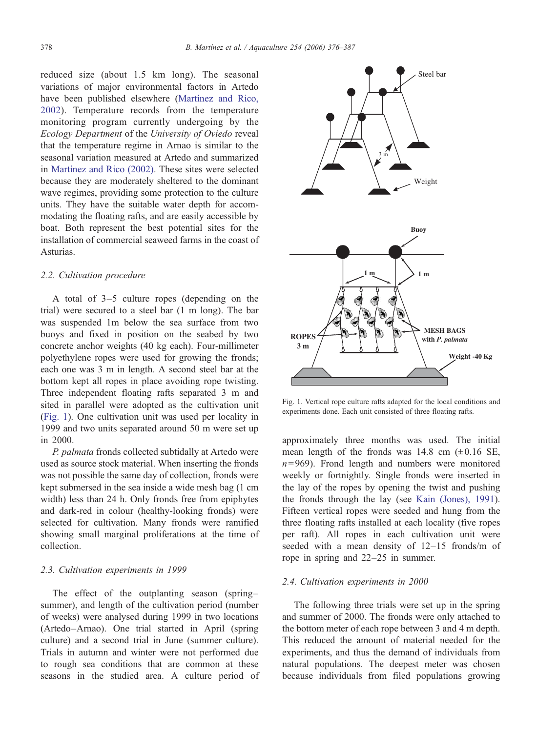reduced size (about 1.5 km long). The seasonal variations of major environmental factors in Artedo have been published elsewhere ([Martínez and Rico,](#page-10-0) [2002\)](#page-10-0). Temperature records from the temperature monitoring program currently undergoing by the Ecology Department of the University of Oviedo reveal that the temperature regime in Arnao is similar to the seasonal variation measured at Artedo and summarized in [Martínez and Rico \(2002\).](#page-10-0) These sites were selected because they are moderately sheltered to the dominant wave regimes, providing some protection to the culture units. They have the suitable water depth for accommodating the floating rafts, and are easily accessible by boat. Both represent the best potential sites for the installation of commercial seaweed farms in the coast of Asturias.

#### 2.2. Cultivation procedure

A total of 3–5 culture ropes (depending on the trial) were secured to a steel bar (1 m long). The bar was suspended 1m below the sea surface from two buoys and fixed in position on the seabed by two concrete anchor weights (40 kg each). Four-millimeter polyethylene ropes were used for growing the fronds; each one was 3 m in length. A second steel bar at the bottom kept all ropes in place avoiding rope twisting. Three independent floating rafts separated 3 m and sited in parallel were adopted as the cultivation unit (Fig. 1). One cultivation unit was used per locality in 1999 and two units separated around 50 m were set up in 2000.

P. palmata fronds collected subtidally at Artedo were used as source stock material. When inserting the fronds was not possible the same day of collection, fronds were kept submersed in the sea inside a wide mesh bag (1 cm width) less than 24 h. Only fronds free from epiphytes and dark-red in colour (healthy-looking fronds) were selected for cultivation. Many fronds were ramified showing small marginal proliferations at the time of collection.

## 2.3. Cultivation experiments in 1999

The effect of the outplanting season (spring– summer), and length of the cultivation period (number of weeks) were analysed during 1999 in two locations (Artedo–Arnao). One trial started in April (spring culture) and a second trial in June (summer culture). Trials in autumn and winter were not performed due to rough sea conditions that are common at these seasons in the studied area. A culture period of



Fig. 1. Vertical rope culture rafts adapted for the local conditions and experiments done. Each unit consisted of three floating rafts.

approximately three months was used. The initial mean length of the fronds was  $14.8 \text{ cm } (\pm 0.16 \text{ SE})$ ,  $n= 969$ ). Frond length and numbers were monitored weekly or fortnightly. Single fronds were inserted in the lay of the ropes by opening the twist and pushing the fronds through the lay (see [Kain \(Jones\), 1991\)](#page-10-0). Fifteen vertical ropes were seeded and hung from the three floating rafts installed at each locality (five ropes per raft). All ropes in each cultivation unit were seeded with a mean density of 12–15 fronds/m of rope in spring and 22–25 in summer.

## 2.4. Cultivation experiments in 2000

The following three trials were set up in the spring and summer of 2000. The fronds were only attached to the bottom meter of each rope between 3 and 4 m depth. This reduced the amount of material needed for the experiments, and thus the demand of individuals from natural populations. The deepest meter was chosen because individuals from filed populations growing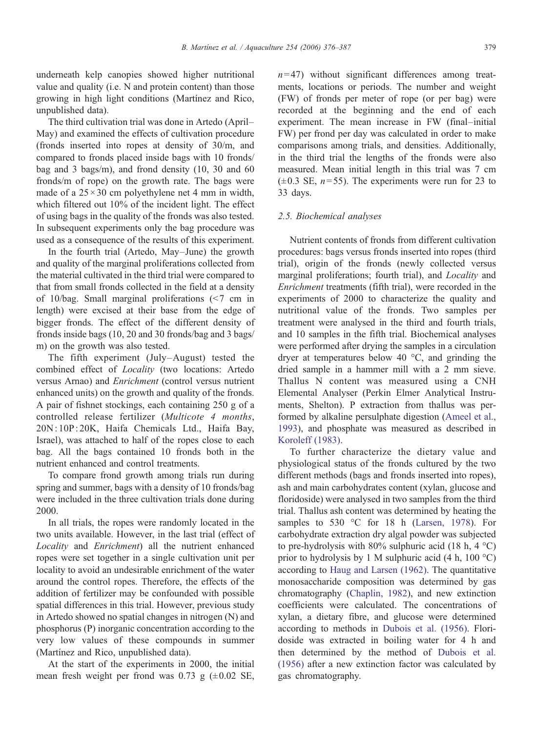underneath kelp canopies showed higher nutritional value and quality (i.e. N and protein content) than those growing in high light conditions (Martínez and Rico, unpublished data).

The third cultivation trial was done in Artedo (April– May) and examined the effects of cultivation procedure (fronds inserted into ropes at density of 30/m, and compared to fronds placed inside bags with 10 fronds/ bag and 3 bags/m), and frond density (10, 30 and 60 fronds/m of rope) on the growth rate. The bags were made of a  $25 \times 30$  cm polyethylene net 4 mm in width, which filtered out 10% of the incident light. The effect of using bags in the quality of the fronds was also tested. In subsequent experiments only the bag procedure was used as a consequence of the results of this experiment.

In the fourth trial (Artedo, May–June) the growth and quality of the marginal proliferations collected from the material cultivated in the third trial were compared to that from small fronds collected in the field at a density of 10/bag. Small marginal proliferations  $(< 7$  cm in length) were excised at their base from the edge of bigger fronds. The effect of the different density of fronds inside bags (10, 20 and 30 fronds/bag and 3 bags/ m) on the growth was also tested.

The fifth experiment (July–August) tested the combined effect of Locality (two locations: Artedo versus Arnao) and Enrichment (control versus nutrient enhanced units) on the growth and quality of the fronds. A pair of fishnet stockings, each containing 250 g of a controlled release fertilizer (Multicote 4 months, 20N : 10P: 20K, Haifa Chemicals Ltd., Haifa Bay, Israel), was attached to half of the ropes close to each bag. All the bags contained 10 fronds both in the nutrient enhanced and control treatments.

To compare frond growth among trials run during spring and summer, bags with a density of 10 fronds/bag were included in the three cultivation trials done during 2000.

In all trials, the ropes were randomly located in the two units available. However, in the last trial (effect of Locality and Enrichment) all the nutrient enhanced ropes were set together in a single cultivation unit per locality to avoid an undesirable enrichment of the water around the control ropes. Therefore, the effects of the addition of fertilizer may be confounded with possible spatial differences in this trial. However, previous study in Artedo showed no spatial changes in nitrogen (N) and phosphorus (P) inorganic concentration according to the very low values of these compounds in summer (Martínez and Rico, unpublished data).

At the start of the experiments in 2000, the initial mean fresh weight per frond was  $0.73$  g  $(\pm 0.02$  SE,

 $n= 47$ ) without significant differences among treatments, locations or periods. The number and weight (FW) of fronds per meter of rope (or per bag) were recorded at the beginning and the end of each experiment. The mean increase in FW (final–initial FW) per frond per day was calculated in order to make comparisons among trials, and densities. Additionally, in the third trial the lengths of the fronds were also measured. Mean initial length in this trial was 7 cm  $(\pm 0.3 \text{ SE}, n=55)$ . The experiments were run for 23 to 33 days.

#### 2.5. Biochemical analyses

Nutrient contents of fronds from different cultivation procedures: bags versus fronds inserted into ropes (third trial), origin of the fronds (newly collected versus marginal proliferations; fourth trial), and Locality and Enrichment treatments (fifth trial), were recorded in the experiments of 2000 to characterize the quality and nutritional value of the fronds. Two samples per treatment were analysed in the third and fourth trials, and 10 samples in the fifth trial. Biochemical analyses were performed after drying the samples in a circulation dryer at temperatures below 40 °C, and grinding the dried sample in a hammer mill with a 2 mm sieve. Thallus N content was measured using a CNH Elemental Analyser (Perkin Elmer Analytical Instruments, Shelton). P extraction from thallus was performed by alkaline persulphate digestion ([Ameel et al.,](#page-9-0) [1993\)](#page-9-0), and phosphate was measured as described in [Koroleff \(1983\)](#page-10-0).

To further characterize the dietary value and physiological status of the fronds cultured by the two different methods (bags and fronds inserted into ropes), ash and main carbohydrates content (xylan, glucose and floridoside) were analysed in two samples from the third trial. Thallus ash content was determined by heating the samples to 530 °C for 18 h [\(Larsen, 1978](#page-10-0)). For carbohydrate extraction dry algal powder was subjected to pre-hydrolysis with  $80\%$  sulphuric acid (18 h, 4 °C) prior to hydrolysis by 1 M sulphuric acid (4 h, 100 °C) according to [Haug and Larsen \(1962\).](#page-10-0) The quantitative monosaccharide composition was determined by gas chromatography ([Chaplin, 1982](#page-10-0)), and new extinction coefficients were calculated. The concentrations of xylan, a dietary fibre, and glucose were determined according to methods in [Dubois et al. \(1956\).](#page-10-0) Floridoside was extracted in boiling water for 4 h and then determined by the method of [Dubois et al.](#page-10-0) [\(1956\)](#page-10-0) after a new extinction factor was calculated by gas chromatography.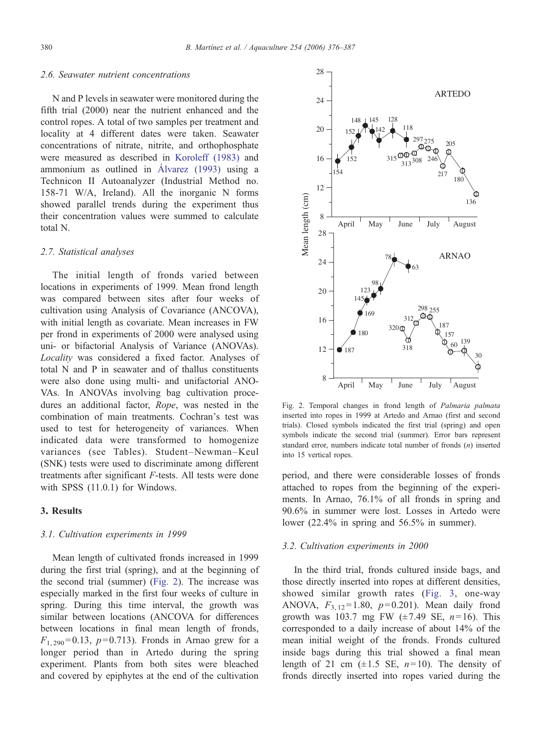#### 2.6. Seawater nutrient concentrations

N and P levels in seawater were monitored during the fifth trial (2000) near the nutrient enhanced and the control ropes. A total of two samples per treatment and locality at 4 different dates were taken. Seawater concentrations of nitrate, nitrite, and orthophosphate were measured as described in [Koroleff \(1983\)](#page-10-0) and ammonium as outlined in [Álvarez \(1993\)](#page-9-0) using a Technicon II Autoanalyzer (Industrial Method no. 158-71 W/A, Ireland). All the inorganic N forms showed parallel trends during the experiment thus their concentration values were summed to calculate total N.

#### 2.7. Statistical analyses

The initial length of fronds varied between locations in experiments of 1999. Mean frond length was compared between sites after four weeks of cultivation using Analysis of Covariance (ANCOVA), with initial length as covariate. Mean increases in FW per frond in experiments of 2000 were analysed using uni- or bifactorial Analysis of Variance (ANOVAs). Locality was considered a fixed factor. Analyses of total N and P in seawater and of thallus constituents were also done using multi- and unifactorial ANO-VAs. In ANOVAs involving bag cultivation procedures an additional factor, Rope, was nested in the combination of main treatments. Cochran's test was used to test for heterogeneity of variances. When indicated data were transformed to homogenize variances (see Tables). Student–Newman–Keul (SNK) tests were used to discriminate among different treatments after significant F-tests. All tests were done with SPSS (11.0.1) for Windows.

## 3. Results

#### 3.1. Cultivation experiments in 1999

Mean length of cultivated fronds increased in 1999 during the first trial (spring), and at the beginning of the second trial (summer) (Fig. 2). The increase was especially marked in the first four weeks of culture in spring. During this time interval, the growth was similar between locations (ANCOVA for differences between locations in final mean length of fronds,  $F_{1, 290} = 0.13$ ,  $p = 0.713$ ). Fronds in Arnao grew for a longer period than in Artedo during the spring experiment. Plants from both sites were bleached and covered by epiphytes at the end of the cultivation



Fig. 2. Temporal changes in frond length of Palmaria palmata inserted into ropes in 1999 at Artedo and Arnao (first and second trials). Closed symbols indicated the first trial (spring) and open symbols indicate the second trial (summer). Error bars represent standard error, numbers indicate total number of fronds (n) inserted into 15 vertical ropes.

period, and there were considerable losses of fronds attached to ropes from the beginning of the experiments. In Arnao, 76.1% of all fronds in spring and 90.6% in summer were lost. Losses in Artedo were lower (22.4% in spring and 56.5% in summer).

## 3.2. Cultivation experiments in 2000

In the third trial, fronds cultured inside bags, and those directly inserted into ropes at different densities, showed similar growth rates ([Fig. 3](#page-5-0), one-way ANOVA,  $F_{3,12} = 1.80$ ,  $p = 0.201$ ). Mean daily frond growth was 103.7 mg FW  $(\pm 7.49 \text{ SE}, n=16)$ . This corresponded to a daily increase of about 14% of the mean initial weight of the fronds. Fronds cultured inside bags during this trial showed a final mean length of 21 cm  $(\pm 1.5 \text{ SE}, n=10)$ . The density of fronds directly inserted into ropes varied during the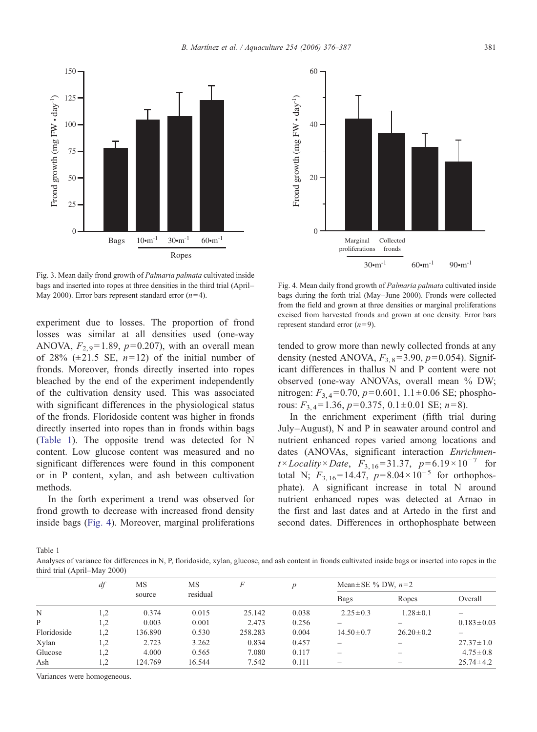Fig. 3. Mean daily frond growth of Palmaria palmata cultivated inside bags and inserted into ropes at three densities in the third trial (April– May 2000). Error bars represent standard error  $(n=4)$ .

Ropes

Bags  $10 \cdot m^{-1}$  30 $\cdot m^{-1}$  60 $\cdot m^{-1}$ 

0

25

50

75

Frond growth (mg FW • day-1)

Frond growth (mg  $FW \cdot day^{-1}$ )

100

125

<span id="page-5-0"></span>150

experiment due to losses. The proportion of frond losses was similar at all densities used (one-way ANOVA,  $F_{2,9}$ =1.89,  $p=0.207$ ), with an overall mean of 28% ( $\pm$ 21.5 SE,  $n=12$ ) of the initial number of fronds. Moreover, fronds directly inserted into ropes bleached by the end of the experiment independently of the cultivation density used. This was associated with significant differences in the physiological status of the fronds. Floridoside content was higher in fronds directly inserted into ropes than in fronds within bags (Table 1). The opposite trend was detected for N content. Low glucose content was measured and no significant differences were found in this component or in P content, xylan, and ash between cultivation methods.

In the forth experiment a trend was observed for frond growth to decrease with increased frond density inside bags (Fig. 4). Moreover, marginal proliferations

Fig. 4. Mean daily frond growth of Palmaria palmata cultivated inside bags during the forth trial (May–June 2000). Fronds were collected from the field and grown at three densities or marginal proliferations excised from harvested fronds and grown at one density. Error bars represent standard error  $(n=9)$ .

tended to grow more than newly collected fronds at any density (nested ANOVA,  $F_{3,8}$ =3.90,  $p$ =0.054). Significant differences in thallus N and P content were not observed (one-way ANOVAs, overall mean % DW; nitrogen:  $F_{3,4}$ =0.70,  $p$ =0.601, 1.1±0.06 SE; phosphorous:  $F_3$   $_4$  = 1.36,  $p$  = 0.375, 0.1  $\pm$  0.01 SE;  $n$  = 8).

In the enrichment experiment (fifth trial during July–August), N and P in seawater around control and nutrient enhanced ropes varied among locations and dates (ANOVAs, significant interaction Enrichmen $t \times Locality \times Date$ ,  $F_{3, 16} = 31.37$ ,  $p = 6.19 \times 10^{-7}$  for total N;  $F_{3, 16} = 14.47$ ,  $p=8.04 \times 10^{-5}$  for orthophosphate). A significant increase in total N around nutrient enhanced ropes was detected at Arnao in the first and last dates and at Artedo in the first and second dates. Differences in orthophosphate between

Table 1

Analyses of variance for differences in N, P, floridoside, xylan, glucose, and ash content in fronds cultivated inside bags or inserted into ropes in the third trial (April–May 2000)

|             | df  | MS<br>source | MS<br>residual | F       | $\boldsymbol{p}$ | Mean $\pm$ SE % DW, $n=2$ |                 |                  |
|-------------|-----|--------------|----------------|---------|------------------|---------------------------|-----------------|------------------|
|             |     |              |                |         |                  | Bags                      | Ropes           | Overall          |
| N           | 1.2 | 0.374        | 0.015          | 25.142  | 0.038            | $2.25 \pm 0.3$            | $1.28 \pm 0.1$  |                  |
| P           | 1.2 | 0.003        | 0.001          | 2.473   | 0.256            |                           |                 | $0.183 \pm 0.03$ |
| Floridoside | 1,2 | 136.890      | 0.530          | 258.283 | 0.004            | $14.50 \pm 0.7$           | $26.20 \pm 0.2$ |                  |
| Xylan       | 1,2 | 2.723        | 3.262          | 0.834   | 0.457            | -                         |                 | $27.37 \pm 1.0$  |
| Glucose     | 1,2 | 4.000        | 0.565          | 7.080   | 0.117            | -                         | -               | $4.75 \pm 0.8$   |
| Ash         | 1,2 | 124.769      | 16.544         | 7.542   | 0.111            | -                         |                 | $25.74 \pm 4.2$  |
|             |     |              |                |         |                  |                           |                 |                  |

Variances were homogeneous.

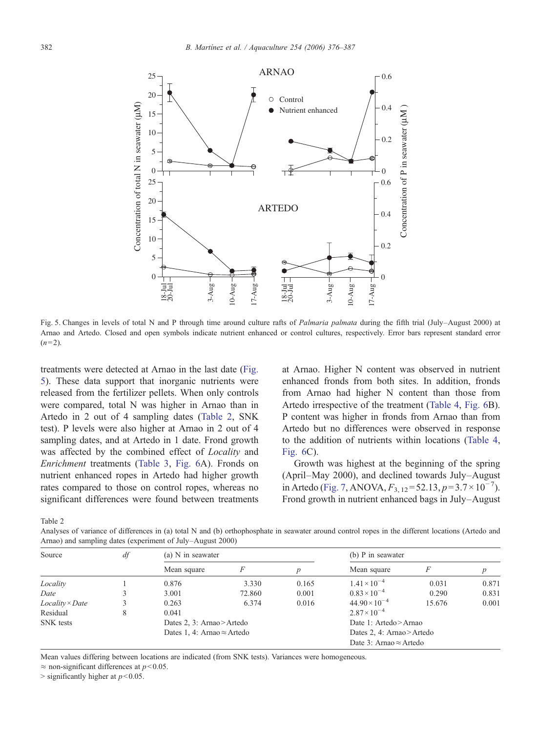

Fig. 5. Changes in levels of total N and P through time around culture rafts of Palmaria palmata during the fifth trial (July–August 2000) at Arnao and Artedo. Closed and open symbols indicate nutrient enhanced or control cultures, respectively. Error bars represent standard error  $(n=2)$ .

treatments were detected at Arnao in the last date (Fig. 5). These data support that inorganic nutrients were released from the fertilizer pellets. When only controls were compared, total N was higher in Arnao than in Artedo in 2 out of 4 sampling dates (Table 2, SNK test). P levels were also higher at Arnao in 2 out of 4 sampling dates, and at Artedo in 1 date. Frond growth was affected by the combined effect of Locality and Enrichment treatments [\(Table 3](#page-7-0), [Fig. 6](#page-7-0)A). Fronds on nutrient enhanced ropes in Artedo had higher growth rates compared to those on control ropes, whereas no significant differences were found between treatments

at Arnao. Higher N content was observed in nutrient enhanced fronds from both sites. In addition, fronds from Arnao had higher N content than those from Artedo irrespective of the treatment ([Table 4,](#page-8-0) [Fig. 6](#page-7-0)B). P content was higher in fronds from Arnao than from Artedo but no differences were observed in response to the addition of nutrients within locations ([Table 4,](#page-8-0) [Fig. 6C](#page-7-0)).

Growth was highest at the beginning of the spring (April–May 2000), and declined towards July–August in Artedo [\(Fig. 7](#page-8-0), ANOVA,  $F_{3, 12} = 52.13, p = 3.7 \times 10^{-7}$ ). Frond growth in nutrient enhanced bags in July–August

Table 2

Analyses of variance of differences in (a) total N and (b) orthophosphate in seawater around control ropes in the different locations (Artedo and Arnao) and sampling dates (experiment of July–August 2000)

| Source                 | df | (a) N in seawater                  |        |       | (b) P in seawater              |        |       |  |
|------------------------|----|------------------------------------|--------|-------|--------------------------------|--------|-------|--|
|                        |    | Mean square                        |        |       | Mean square                    |        |       |  |
| Locality               |    | 0.876                              | 3.330  | 0.165 | $1.41 \times 10^{-4}$          | 0.031  | 0.871 |  |
| Date                   |    | 3.001                              | 72.860 | 0.001 | $0.83 \times 10^{-4}$          | 0.290  | 0.831 |  |
| $Locality \times Date$ |    | 0.263                              | 6.374  | 0.016 | $44.90 \times 10^{-4}$         | 15.676 | 0.001 |  |
| Residual               | 8  | 0.041                              |        |       | $2.87 \times 10^{-4}$          |        |       |  |
| <b>SNK</b> tests       |    | Dates 2, 3: Arnao > Artedo         |        |       | Date 1: Artedo > Arnao         |        |       |  |
|                        |    | Dates 1, 4: Arnao $\approx$ Artedo |        |       | Dates 2, 4: Arnao > Artedo     |        |       |  |
|                        |    |                                    |        |       | Date 3: Arnao $\approx$ Artedo |        |       |  |

Mean values differing between locations are indicated (from SNK tests). Variances were homogeneous.

 $\approx$  non-significant differences at  $p<0.05$ .

 $>$  significantly higher at  $p<0.05$ .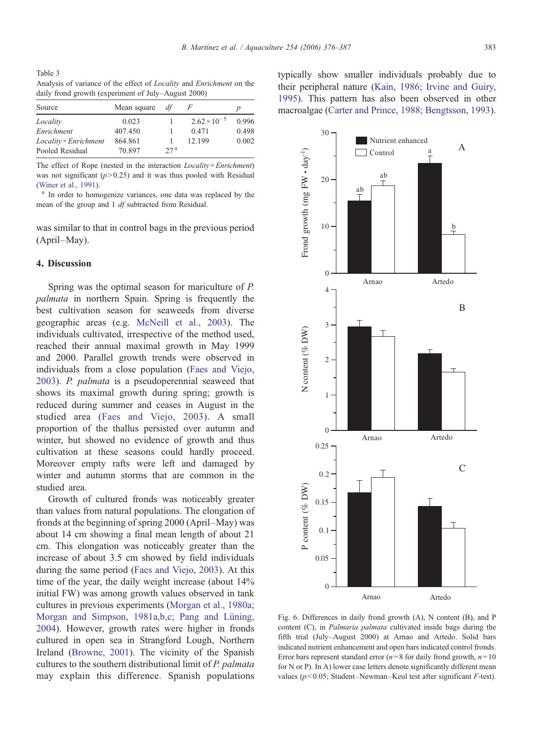<span id="page-7-0"></span>Table 3 Analysis of variance of the effect of Locality and Enrichment on the daily frond growth (experiment of July–August 2000)

| Source                       | Mean square | df              |                       | $\boldsymbol{p}$ |
|------------------------------|-------------|-----------------|-----------------------|------------------|
| Locality                     | 0.023       |                 | $2.62 \times 10^{-5}$ | 0.996            |
| Enrichment                   | 407.450     |                 | 0.471                 | 0.498            |
| $Locality \times Enrichment$ | 864.861     |                 | 12.199                | 0.002            |
| Pooled Residual              | 70.897      | 27 <sup>a</sup> |                       |                  |

The effect of Rope (nested in the interaction  $Locality \times Enrichment$ ) was not significant  $(p>0.25)$  and it was thus pooled with Residual [\(Winer et al., 1991](#page-11-0)).<br><sup>a</sup> In order to homogenize variances, one data was replaced by the

mean of the group and 1 df subtracted from Residual.

was similar to that in control bags in the previous period (April–May).

## 4. Discussion

Spring was the optimal season for mariculture of P. palmata in northern Spain. Spring is frequently the best cultivation season for seaweeds from diverse geographic areas (e.g. [McNeill et al., 2003](#page-10-0)). The individuals cultivated, irrespective of the method used, reached their annual maximal growth in May 1999 and 2000. Parallel growth trends were observed in individuals from a close population ([Faes and Viejo,](#page-10-0) [2003\)](#page-10-0). P. palmata is a pseudoperennial seaweed that shows its maximal growth during spring; growth is reduced during summer and ceases in August in the studied area [\(Faes and Viejo, 2003\)](#page-10-0). A small proportion of the thallus persisted over autumn and winter, but showed no evidence of growth and thus cultivation at these seasons could hardly proceed. Moreover empty rafts were left and damaged by winter and autumn storms that are common in the studied area.

Growth of cultured fronds was noticeably greater than values from natural populations. The elongation of fronds at the beginning of spring 2000 (April–May) was about 14 cm showing a final mean length of about 21 cm. This elongation was noticeably greater than the increase of about 3.5 cm showed by field individuals during the same period [\(Faes and Viejo, 2003\)](#page-10-0). At this time of the year, the daily weight increase (about 14% initial FW) was among growth values observed in tank cultures in previous experiments [\(Morgan et al., 1980a;](#page-10-0) [Morgan and Simpson, 1981a,b,c; Pang and Lüning,](#page-10-0) [2004\)](#page-10-0). However, growth rates were higher in fronds cultured in open sea in Strangford Lough, Northern Ireland ([Browne, 2001](#page-9-0)). The vicinity of the Spanish cultures to the southern distributional limit of P. palmata may explain this difference. Spanish populations typically show smaller individuals probably due to their peripheral nature ([Kain, 1986; Irvine and Guiry,](#page-10-0) [1995\)](#page-10-0). This pattern has also been observed in other macroalgae ([Carter and Prince, 1988; Bengtsson, 1993](#page-10-0)).



Fig. 6. Differences in daily frond growth (A), N content (B), and P content (C), in Palmaria palmata cultivated inside bags during the fifth trial (July–August 2000) at Arnao and Artedo. Solid bars indicated nutrient enhancement and open bars indicated control fronds. Error bars represent standard error ( $n=8$  for daily frond growth,  $n=10$ for N or P). In A) lower case letters denote significantly different mean values ( $p<0.05$ ; Student–Newman–Keul test after significant F-test).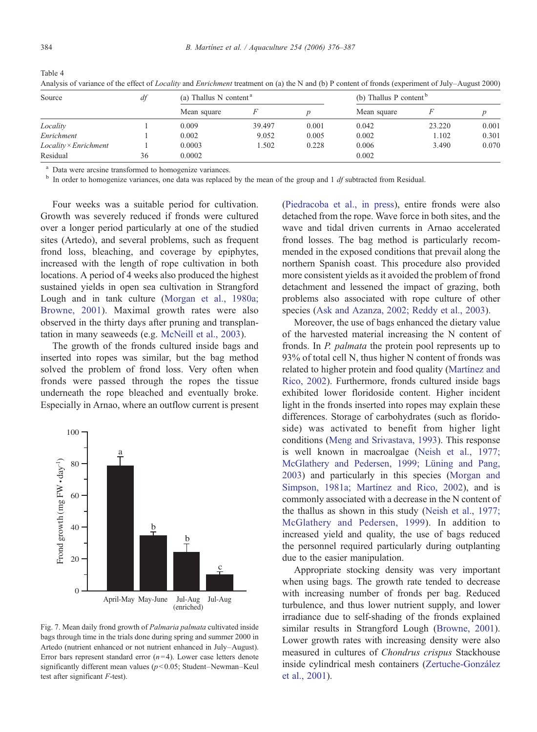<span id="page-8-0"></span>Table 4

| Source                | df | (a) Thallus N content <sup>a</sup> |        |       | (b) Thallus P content $\degree$ |        |       |
|-----------------------|----|------------------------------------|--------|-------|---------------------------------|--------|-------|
|                       |    | Mean square                        |        |       | Mean square                     |        |       |
| Locality              |    | 0.009                              | 39.497 | 0.001 | 0.042                           | 23.220 | 0.001 |
| Enrichment            |    | 0.002                              | 9.052  | 0.005 | 0.002                           | 1.102  | 0.301 |
| Locality × Enrichment |    | 0.0003                             | 1.502  | 0.228 | 0.006                           | 3.490  | 0.070 |
| Residual              | 36 | 0.0002                             |        |       | 0.002                           |        |       |

Analysis of variance of the effect of *Locality* and *Enrichment* treatment on (a) the N and (b) P content of fronds (experiment of July–August 2000)

<sup>a</sup> Data were arcsine transformed to homogenize variances.

In order to homogenize variances, one data was replaced by the mean of the group and  $1 \, df$  subtracted from Residual.

Four weeks was a suitable period for cultivation. Growth was severely reduced if fronds were cultured over a longer period particularly at one of the studied sites (Artedo), and several problems, such as frequent frond loss, bleaching, and coverage by epiphytes, increased with the length of rope cultivation in both locations. A period of 4 weeks also produced the highest sustained yields in open sea cultivation in Strangford Lough and in tank culture ([Morgan et al., 1980a;](#page-10-0) [Browne, 2001](#page-10-0)). Maximal growth rates were also observed in the thirty days after pruning and transplantation in many seaweeds (e.g. [McNeill et al., 2003](#page-10-0)).

The growth of the fronds cultured inside bags and inserted into ropes was similar, but the bag method solved the problem of frond loss. Very often when fronds were passed through the ropes the tissue underneath the rope bleached and eventually broke. Especially in Arnao, where an outflow current is present



Fig. 7. Mean daily frond growth of Palmaria palmata cultivated inside bags through time in the trials done during spring and summer 2000 in Artedo (nutrient enhanced or not nutrient enhanced in July–August). Error bars represent standard error  $(n=4)$ . Lower case letters denote significantly different mean values ( $p<0.05$ ; Student–Newman–Keul test after significant F-test).

[\(Piedracoba et al., in press\)](#page-10-0), entire fronds were also detached from the rope. Wave force in both sites, and the wave and tidal driven currents in Arnao accelerated frond losses. The bag method is particularly recommended in the exposed conditions that prevail along the northern Spanish coast. This procedure also provided more consistent yields as it avoided the problem of frond detachment and lessened the impact of grazing, both problems also associated with rope culture of other species ([Ask and Azanza, 2002; Reddy et al., 2003](#page-9-0)).

Moreover, the use of bags enhanced the dietary value of the harvested material increasing the N content of fronds. In P. palmata the protein pool represents up to 93% of total cell N, thus higher N content of fronds was related to higher protein and food quality ([Martínez and](#page-10-0) [Rico, 2002](#page-10-0)). Furthermore, fronds cultured inside bags exhibited lower floridoside content. Higher incident light in the fronds inserted into ropes may explain these differences. Storage of carbohydrates (such as floridoside) was activated to benefit from higher light conditions ([Meng and Srivastava, 1993\)](#page-10-0). This response is well known in macroalgae [\(Neish et al., 1977;](#page-10-0) [McGlathery and Pedersen, 1999; Lüning and Pang,](#page-10-0) [2003](#page-10-0)) and particularly in this species [\(Morgan and](#page-10-0) [Simpson, 1981a; Martínez and Rico, 2002\)](#page-10-0), and is commonly associated with a decrease in the N content of the thallus as shown in this study [\(Neish et al., 1977;](#page-10-0) [McGlathery and Pedersen, 1999](#page-10-0)). In addition to increased yield and quality, the use of bags reduced the personnel required particularly during outplanting due to the easier manipulation.

Appropriate stocking density was very important when using bags. The growth rate tended to decrease with increasing number of fronds per bag. Reduced turbulence, and thus lower nutrient supply, and lower irradiance due to self-shading of the fronds explained similar results in Strangford Lough ([Browne, 2001\)](#page-9-0). Lower growth rates with increasing density were also measured in cultures of Chondrus crispus Stackhouse inside cylindrical mesh containers ([Zertuche-González](#page-11-0) [et al., 2001](#page-11-0)).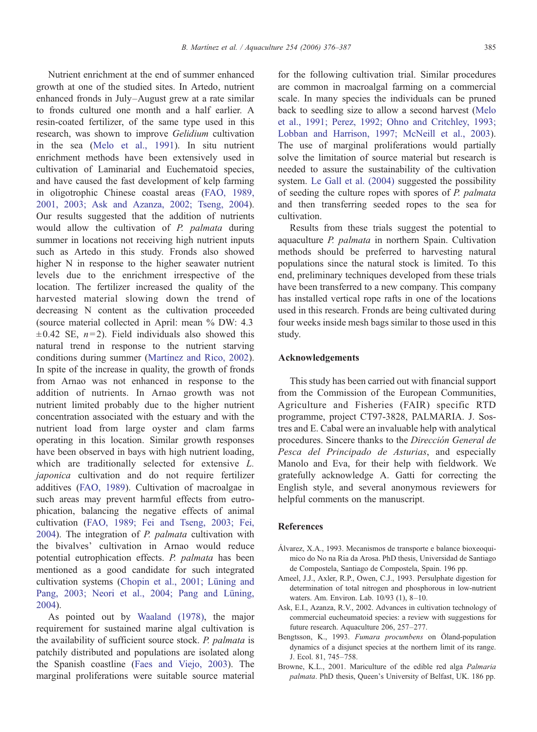<span id="page-9-0"></span>Nutrient enrichment at the end of summer enhanced growth at one of the studied sites. In Artedo, nutrient enhanced fronds in July–August grew at a rate similar to fronds cultured one month and a half earlier. A resin-coated fertilizer, of the same type used in this research, was shown to improve Gelidium cultivation in the sea ([Melo et al., 1991\)](#page-10-0). In situ nutrient enrichment methods have been extensively used in cultivation of Laminarial and Euchematoid species, and have caused the fast development of kelp farming in oligotrophic Chinese coastal areas ([FAO, 1989,](#page-10-0) [2001, 2003; Ask and Azanza, 2002; Tseng, 2004](#page-10-0)). Our results suggested that the addition of nutrients would allow the cultivation of P. palmata during summer in locations not receiving high nutrient inputs such as Artedo in this study. Fronds also showed higher N in response to the higher seawater nutrient levels due to the enrichment irrespective of the location. The fertilizer increased the quality of the harvested material slowing down the trend of decreasing N content as the cultivation proceeded (source material collected in April: mean % DW: 4.3  $\pm 0.42$  SE,  $n=2$ ). Field individuals also showed this natural trend in response to the nutrient starving conditions during summer [\(Martínez and Rico, 2002](#page-10-0)). In spite of the increase in quality, the growth of fronds from Arnao was not enhanced in response to the addition of nutrients. In Arnao growth was not nutrient limited probably due to the higher nutrient concentration associated with the estuary and with the nutrient load from large oyster and clam farms operating in this location. Similar growth responses have been observed in bays with high nutrient loading, which are traditionally selected for extensive L. japonica cultivation and do not require fertilizer additives ([FAO, 1989](#page-10-0)). Cultivation of macroalgae in such areas may prevent harmful effects from eutrophication, balancing the negative effects of animal cultivation [\(FAO, 1989; Fei and Tseng, 2003; Fei,](#page-10-0) [2004\)](#page-10-0). The integration of P. palmata cultivation with the bivalves' cultivation in Arnao would reduce potential eutrophication effects. P. palmata has been mentioned as a good candidate for such integrated cultivation systems [\(Chopin et al., 2001; Lüning and](#page-10-0) [Pang, 2003; Neori et al., 2004; Pang and Lüning,](#page-10-0) [2004\)](#page-10-0).

As pointed out by [Waaland \(1978\),](#page-11-0) the major requirement for sustained marine algal cultivation is the availability of sufficient source stock. P. palmata is patchily distributed and populations are isolated along the Spanish coastline ([Faes and Viejo, 2003\)](#page-10-0). The marginal proliferations were suitable source material for the following cultivation trial. Similar procedures are common in macroalgal farming on a commercial scale. In many species the individuals can be pruned back to seedling size to allow a second harvest [\(Melo](#page-10-0) [et al., 1991; Perez, 1992; Ohno and Critchley, 1993;](#page-10-0) [Lobban and Harrison, 1997; McNeill et al., 2003](#page-10-0)). The use of marginal proliferations would partially solve the limitation of source material but research is needed to assure the sustainability of the cultivation system. [Le Gall et al. \(2004\)](#page-10-0) suggested the possibility of seeding the culture ropes with spores of P. palmata and then transferring seeded ropes to the sea for cultivation.

Results from these trials suggest the potential to aquaculture P. palmata in northern Spain. Cultivation methods should be preferred to harvesting natural populations since the natural stock is limited. To this end, preliminary techniques developed from these trials have been transferred to a new company. This company has installed vertical rope rafts in one of the locations used in this research. Fronds are being cultivated during four weeks inside mesh bags similar to those used in this study.

## Acknowledgements

This study has been carried out with financial support from the Commission of the European Communities, Agriculture and Fisheries (FAIR) specific RTD programme, project CT97-3828, PALMARIA. J. Sostres and E. Cabal were an invaluable help with analytical procedures. Sincere thanks to the Dirección General de Pesca del Principado de Asturias, and especially Manolo and Eva, for their help with fieldwork. We gratefully acknowledge A. Gatti for correcting the English style, and several anonymous reviewers for helpful comments on the manuscript.

## References

- Álvarez, X.A., 1993. Mecanismos de transporte e balance bioxeoquimico do No na Ria da Arosa. PhD thesis, Universidad de Santiago de Compostela, Santiago de Compostela, Spain. 196 pp.
- Ameel, J.J., Axler, R.P., Owen, C.J., 1993. Persulphate digestion for determination of total nitrogen and phosphorous in low-nutrient waters. Am. Environ. Lab. 10/93 (1), 8–10.
- Ask, E.I., Azanza, R.V., 2002. Advances in cultivation technology of commercial eucheumatoid species: a review with suggestions for future research. Aquaculture 206, 257–277.
- Bengtsson, K., 1993. Fumara procumbens on Öland-population dynamics of a disjunct species at the northern limit of its range. J. Ecol. 81, 745–758.
- Browne, K.L., 2001. Mariculture of the edible red alga Palmaria palmata. PhD thesis, Queen's University of Belfast, UK. 186 pp.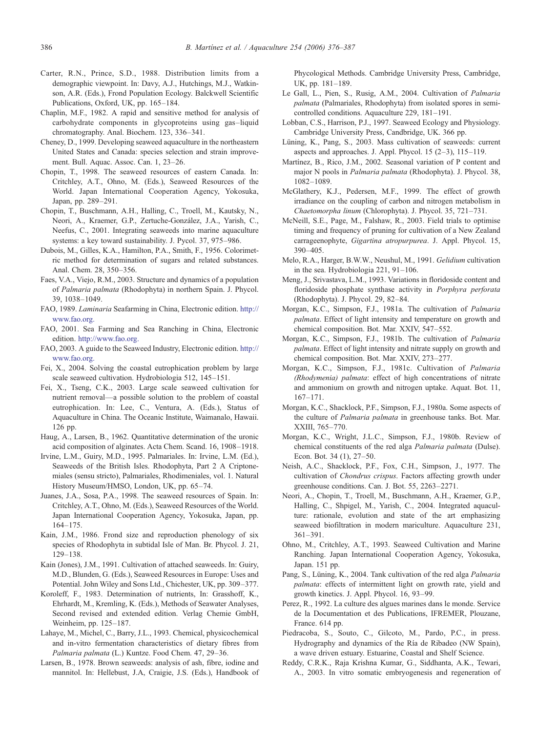- <span id="page-10-0"></span>Carter, R.N., Prince, S.D., 1988. Distribution limits from a demographic viewpoint. In: Davy, A.J., Hutchings, M.J., Watkinson, A.R. (Eds.), Frond Population Ecology. Balckwell Scientific Publications, Oxford, UK, pp. 165–184.
- Chaplin, M.F., 1982. A rapid and sensitive method for analysis of carbohydrate components in glycoproteins using gas–liquid chromatography. Anal. Biochem. 123, 336–341.
- Cheney, D., 1999. Developing seaweed aquaculture in the northeastern United States and Canada: species selection and strain improvement. Bull. Aquac. Assoc. Can. 1, 23–26.
- Chopin, T., 1998. The seaweed resources of eastern Canada. In: Critchley, A.T., Ohno, M. (Eds.), Seaweed Resources of the World. Japan International Cooperation Agency, Yokosuka, Japan, pp. 289–291.
- Chopin, T., Buschmann, A.H., Halling, C., Troell, M., Kautsky, N., Neori, A., Kraemer, G.P., Zertuche-González, J.A., Yarish, C., Neefus, C., 2001. Integrating seaweeds into marine aquaculture systems: a key toward sustainability. J. Pycol. 37, 975–986.
- Dubois, M., Gilles, K.A., Hamilton, P.A., Smith, F., 1956. Colorimetric method for determination of sugars and related substances. Anal. Chem. 28, 350–356.
- Faes, V.A., Viejo, R.M., 2003. Structure and dynamics of a population of Palmaria palmata (Rhodophyta) in northern Spain. J. Phycol. 39, 1038–1049.
- FAO, 1989. Laminaria Seafarming in China, Electronic edition. [http://](http://www.fao.org.) [www.fao.org.](http://www.fao.org.)
- FAO, 2001. Sea Farming and Sea Ranching in China, Electronic edition. <http://www.fao.org.>
- FAO, 2003. A guide to the Seaweed Industry, Electronic edition. [http://](http://www.fao.org.) [www.fao.org.](http://www.fao.org.)
- Fei, X., 2004. Solving the coastal eutrophication problem by large scale seaweed cultivation. Hydrobiologia 512, 145–151.
- Fei, X., Tseng, C.K., 2003. Large scale seaweed cultivation for nutrient removal—a possible solution to the problem of coastal eutrophication. In: Lee, C., Ventura, A. (Eds.), Status of Aquaculture in China. The Oceanic Institute, Waimanalo, Hawaii. 126 pp.
- Haug, A., Larsen, B., 1962. Quantitative determination of the uronic acid composition of alginates. Acta Chem. Scand. 16, 1908–1918.
- Irvine, L.M., Guiry, M.D., 1995. Palmariales. In: Irvine, L.M. (Ed.), Seaweeds of the British Isles. Rhodophyta, Part 2 A Criptonemiales (sensu stricto), Palmariales, Rhodimeniales, vol. 1. Natural History Museum/HMSO, London, UK, pp. 65–74.
- Juanes, J.A., Sosa, P.A., 1998. The seaweed resources of Spain. In: Critchley, A.T., Ohno, M. (Eds.), Seaweed Resources of the World. Japan International Cooperation Agency, Yokosuka, Japan, pp. 164–175.
- Kain, J.M., 1986. Frond size and reproduction phenology of six species of Rhodophyta in subtidal Isle of Man. Br. Phycol. J. 21, 129–138.
- Kain (Jones), J.M., 1991. Cultivation of attached seaweeds. In: Guiry, M.D., Blunden, G. (Eds.), Seaweed Resources in Europe: Uses and Potential. John Wiley and Sons Ltd., Chichester, UK, pp. 309–377.
- Koroleff, F., 1983. Determination of nutrients, In: Grasshoff, K., Ehrhardt, M., Kremling, K. (Eds.), Methods of Seawater Analyses, Second revised and extended edition. Verlag Chemie GmbH, Weinheim, pp. 125–187.
- Lahaye, M., Michel, C., Barry, J.L., 1993. Chemical, physicochemical and in-vitro fermentation characteristics of dietary fibres from Palmaria palmata (L.) Kuntze. Food Chem. 47, 29–36.
- Larsen, B., 1978. Brown seaweeds: analysis of ash, fibre, iodine and mannitol. In: Hellebust, J.A, Craigie, J.S. (Eds.), Handbook of

Phycological Methods. Cambridge University Press, Cambridge, UK, pp. 181–189.

- Le Gall, L., Pien, S., Rusig, A.M., 2004. Cultivation of Palmaria palmata (Palmariales, Rhodophyta) from isolated spores in semicontrolled conditions. Aquaculture 229, 181–191.
- Lobban, C.S., Harrison, P.J., 1997. Seaweed Ecology and Physiology. Cambridge University Press, Candbridge, UK. 366 pp.
- Lüning, K., Pang, S., 2003. Mass cultivation of seaweeds: current aspects and approaches. J. Appl. Phycol.  $15$   $(2-3)$ ,  $115-119$ .
- Martínez, B., Rico, J.M., 2002. Seasonal variation of P content and major N pools in Palmaria palmata (Rhodophyta). J. Phycol. 38, 1082–1089.
- McGlathery, K.J., Pedersen, M.F., 1999. The effect of growth irradiance on the coupling of carbon and nitrogen metabolism in Chaetomorpha linum (Chlorophyta). J. Phycol. 35, 721–731.
- McNeill, S.E., Page, M., Falshaw, R., 2003. Field trials to optimise timing and frequency of pruning for cultivation of a New Zealand carrageenophyte, Gigartina atropurpurea. J. Appl. Phycol. 15, 390–405.
- Melo, R.A., Harger, B.W.W., Neushul, M., 1991. Gelidium cultivation in the sea. Hydrobiologia 221, 91–106.
- Meng, J., Srivastava, L.M., 1993. Variations in floridoside content and floridoside phosphate synthase activity in Porphyra perforata (Rhodophyta). J. Phycol. 29, 82–84.
- Morgan, K.C., Simpson, F.J., 1981a. The cultivation of Palmaria palmata. Effect of light intensity and temperature on growth and chemical composition. Bot. Mar. XXIV, 547–552.
- Morgan, K.C., Simpson, F.J., 1981b. The cultivation of Palmaria palmata. Effect of light intensity and nitrate supply on growth and chemical composition. Bot. Mar. XXIV, 273–277.
- Morgan, K.C., Simpson, F.J., 1981c. Cultivation of Palmaria (Rhodymenia) palmata: effect of high concentrations of nitrate and ammonium on growth and nitrogen uptake. Aquat. Bot. 11, 167–171.
- Morgan, K.C., Shacklock, P.F., Simpson, F.J., 1980a. Some aspects of the culture of Palmaria palmata in greenhouse tanks. Bot. Mar. XXIII, 765–770.
- Morgan, K.C., Wright, J.L.C., Simpson, F.J., 1980b. Review of chemical constituents of the red alga Palmaria palmata (Dulse). Econ. Bot. 34 (1), 27–50.
- Neish, A.C., Shacklock, P.F., Fox, C.H., Simpson, J., 1977. The cultivation of Chondrus crispus. Factors affecting growth under greenhouse conditions. Can. J. Bot. 55, 2263–2271.
- Neori, A., Chopin, T., Troell, M., Buschmann, A.H., Kraemer, G.P., Halling, C., Shpigel, M., Yarish, C., 2004. Integrated aquaculture: rationale, evolution and state of the art emphasizing seaweed biofiltration in modern mariculture. Aquaculture 231, 361–391.
- Ohno, M., Critchley, A.T., 1993. Seaweed Cultivation and Marine Ranching. Japan International Cooperation Agency, Yokosuka, Japan. 151 pp.
- Pang, S., Lüning, K., 2004. Tank cultivation of the red alga Palmaria palmata: effects of intermittent light on growth rate, yield and growth kinetics. J. Appl. Phycol. 16, 93–99.
- Perez, R., 1992. La culture des algues marines dans le monde. Service de la Documentation et des Publications, IFREMER, Plouzane, France. 614 pp.
- Piedracoba, S., Souto, C., Gilcoto, M., Pardo, P.C., in press. Hydrography and dynamics of the Ría de Ribadeo (NW Spain), a wave driven estuary. Estuarine, Coastal and Shelf Science.
- Reddy, C.R.K., Raja Krishna Kumar, G., Siddhanta, A.K., Tewari, A., 2003. In vitro somatic embryogenesis and regeneration of